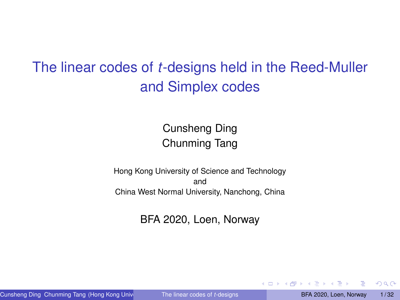# <span id="page-0-0"></span>The linear codes of *t*-designs held in the Reed-Muller and Simplex codes

### Cunsheng Ding Chunming Tang

Hong Kong University of Science and Technology and China West Normal University, Nanchong, China

BFA 2020, Loen, Norway

Cunsheng Ding Chunming Tang (Hong Kong University of The linear codes of t-designs **BFA 2020, Loen, Norway 1/32** 

 $2Q$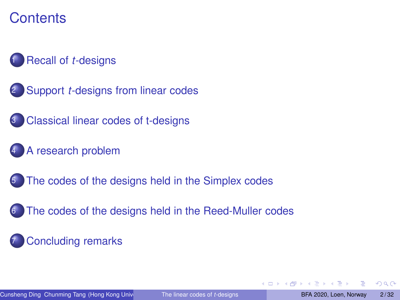### **Contents**

### [Recall of](#page-2-0) *t*-designs

- 2 Support *t*[-designs from linear codes](#page-4-0)
- **[Classical linear codes of t-designs](#page-8-0)**
- [A research problem](#page-10-0)
- [The codes of the designs held in the Simplex codes](#page-12-0)
- [The codes of the designs held in the Reed-Muller codes](#page-18-0)

### **[Concluding remarks](#page-30-0)**

つひへ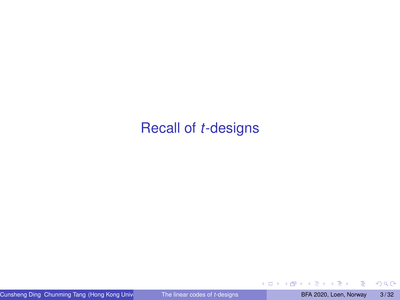### <span id="page-2-0"></span>[Recall of](#page-2-0) *t*-designs

∍

 $299$ 

**←ロト ← 伊** 

 $\mathbf{p}$  $\sim$ ÷.  $\mathbf{p}$  $\left\langle \cdot \right\rangle$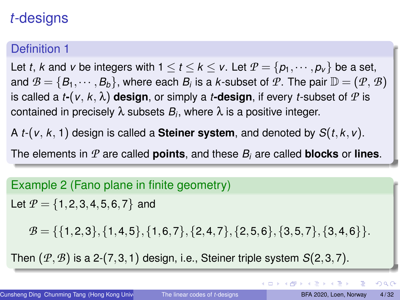# *t*-designs

### Definition 1

Let *t*, *k* and *v* be integers with  $1 \le t \le k \le v$ . Let  $P = \{p_1, \dots, p_v\}$  be a set, and  $\mathcal{B} = \{B_1, \cdots, B_b\}$ , where each  $B_i$  is a *k*-subset of  $\mathcal{P}$ . The pair  $\mathbb{D} = (\mathcal{P}, \mathcal{B})$ is called a *t***-**( $v, k, \lambda$ ) design, or simply a *t***-design**, if every *t*-subset of  $P$  is contained in precisely  $\lambda$  subsets  $B_i$ , where  $\lambda$  is a positive integer.

A *t*-(*v*, *k*, 1) design is called a **Steiner system**, and denoted by *S*(*t*,*k*,*v*).

The elements in  $P$  are called **points**, and these  $B_i$  are called **blocks** or **lines**.

# Example 2 (Fano plane in finite geometry) Let  $P = \{1, 2, 3, 4, 5, 6, 7\}$  and  $B = \{\{1,2,3\},\{1,4,5\},\{1,6,7\},\{2,4,7\},\{2,5,6\},\{3,5,7\},\{3,4,6\}\}.$ Then (*P*,*B*) is a 2-(7,3,1) design, i.e., Steiner triple system *S*(2,3,7).

 $QQ$ 

イロメ イ押 トイヨメ イヨメーヨ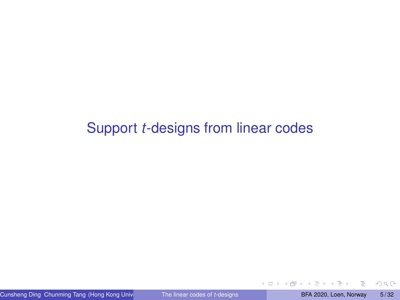### <span id="page-4-0"></span>Support *t*[-designs from linear codes](#page-4-0)

∍

×  $\mathbf{A}$   $2Q$ 

**← ロ → → 伊**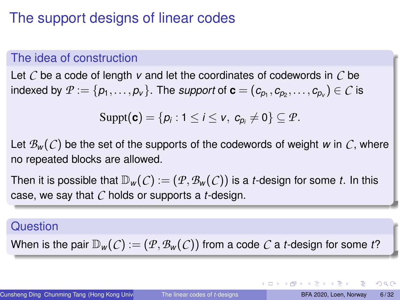### The support designs of linear codes

### The idea of construction

Let *C* be a code of length *v* and let the coordinates of codewords in *C* be indexed by  $\mathcal{P}:=\{p_1,\ldots,p_v\}.$  The *support* of  $\mathbf{c}=(c_{p_1},c_{p_2},\ldots,c_{p_v})\in\mathcal{C}$  is

$$
Suppt(\mathbf{c})=\{p_i:1\leq i\leq v,\ c_{p_i}\neq 0\}\subseteq \mathcal{P}.
$$

Let  $\mathcal{B}_{w}(\mathcal{C})$  be the set of the supports of the codewords of weight *w* in  $\mathcal{C}$ , where no repeated blocks are allowed.

Then it is possible that  $\mathbb{D}_w(C) := (\mathcal{P}, \mathcal{B}_w(C))$  is a *t*-design for some *t*. In this case, we say that *C* holds or supports a *t*-design.

#### Question

When is the pair  $\mathbb{D}_w(C) := (P, \mathcal{B}_w(C))$  from a code C a *t*-design for some t?

 $QQ$ 

イロト イ押 トイヨト イヨト 一重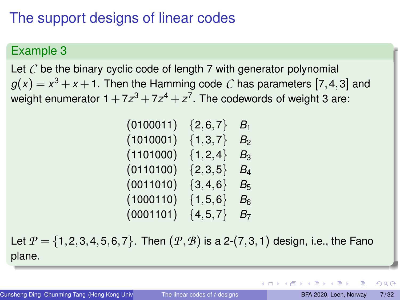# The support designs of linear codes

### Example 3

Let C be the binary cyclic code of length 7 with generator polynomial  $g(x) = x^3 + x + 1$ . Then the Hamming code  $\mathcal C$  has parameters  $[7,4,3]$  and weight enumerator  $1+7z^3+7z^4+z^7$ . The codewords of weight 3 are:

| (0100011) | $\{2,6,7\}$   | $B_1$          |
|-----------|---------------|----------------|
| (1010001) | $\{1,3,7\}$   | B <sub>2</sub> |
| (1101000) | ${1, 2, 4}$   | $B_3$          |
| (0110100) | ${2,3,5}$     | $B_4$          |
| (0011010) | ${3,4,6}$     | $B_{5}$        |
| (1000110) | $\{1, 5, 6\}$ | $B_6$          |
| (0001101) | $\{4, 5, 7\}$ | B <sub>7</sub> |

Let  $P = \{1, 2, 3, 4, 5, 6, 7\}$ . Then  $(P, B)$  is a 2-(7,3,1) design, i.e., the Fano plane.

つひへ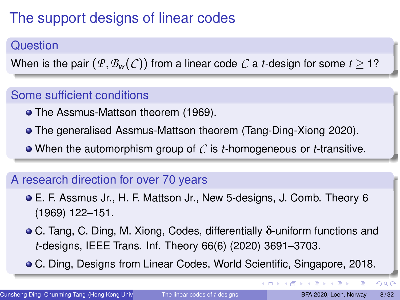# The support designs of linear codes

### Question

When is the pair  $(P, B_w(C))$  from a linear code *C* a *t*-design for some  $t > 1$ ?

### Some sufficient conditions

- The Assmus-Mattson theorem (1969).
- The generalised Assmus-Mattson theorem (Tang-Ding-Xiong 2020).
- When the automorphism group of *C* is *t*-homogeneous or *t*-transitive.

### A research direction for over 70 years

- E. F. Assmus Jr., H. F. Mattson Jr., New 5-designs, J. Comb. Theory 6 (1969) 122–151.
- C. Tang, C. Ding, M. Xiong, Codes, differentially δ-uniform functions and *t*-designs, IEEE Trans. Inf. Theory 66(6) (2020) 3691–3703.
- C. Ding, Designs from Linear Codes, World Scientific, Singapore, 2018.

 $\Omega$ 

イロト イ伊 トイヨ トイヨト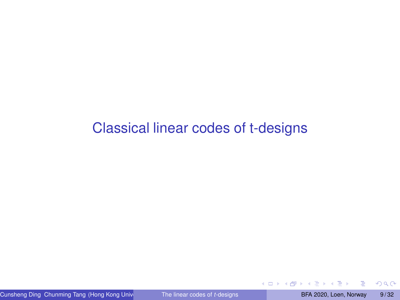### <span id="page-8-0"></span>[Classical linear codes of t-designs](#page-8-0)

 $\mathbf{A}$ 

 $2Q$ 

**← ロ → → 伊**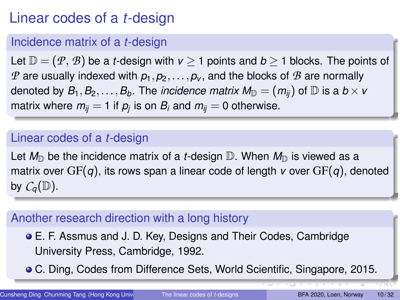# Linear codes of a *t*-design

### Incidence matrix of a *t*-design

Let  $\mathbb{D} = (\mathcal{P}, \mathcal{B})$  be a *t*-design with  $v \ge 1$  points and  $b \ge 1$  blocks. The points of *P* are usually indexed with  $p_1, p_2, \ldots, p_v$ , and the blocks of *B* are normally denoted by  $B_1, B_2, \ldots, B_b$ . The *incidence matrix*  $M_{\mathbb{D}} = (m_{ij})$  of  $\mathbb{D}$  is a  $b \times v$ matrix where  $m_{ij}=$  1 if  $p_j$  is on  $B_i$  and  $m_{ij}=$  0 otherwise.

### Linear codes of a *t*-design

Let  $M_{\mathbb{D}}$  be the incidence matrix of a *t*-design  $\mathbb{D}$ . When  $M_{\mathbb{D}}$  is viewed as a matrix over GF(*q*), its rows span a linear code of length *v* over GF(*q*), denoted by  $C_q(\mathbb{D})$ .

### Another research direction with a long history

E. F. Assmus and J. D. Key, Designs and Their Codes, Cambridge University Press, Cambridge, 1992.

C. Ding, Codes from Difference Sets, World Scientific, Singapore, 2015.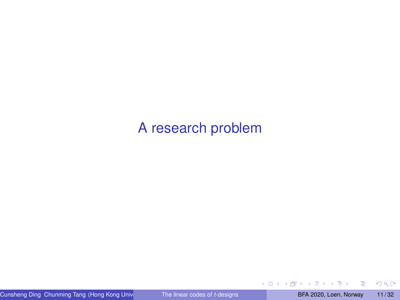### <span id="page-10-0"></span>[A research problem](#page-10-0)

E

おすぼお すぼお

**←ロト ← 伊** 

 $299$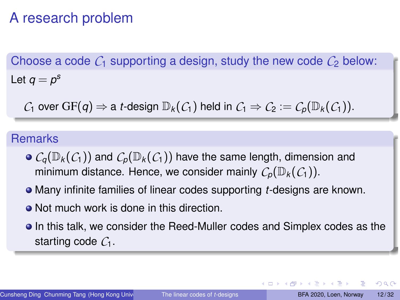## A research problem

Choose a code  $C_1$  supporting a design, study the new code  $C_2$  below: Let  $q = p^{\rm s}$ 

*C*<sub>1</sub> over GF(*q*)  $\Rightarrow$  a *t*-design  $\mathbb{D}_k(C_1)$  held in  $C_1 \Rightarrow C_2 := C_p(\mathbb{D}_k(C_1))$ .

### Remarks

- $\bullet$   $C_q(\mathbb{D}_k(\mathcal{C}_1))$  and  $C_p(\mathbb{D}_k(\mathcal{C}_1))$  have the same length, dimension and minimum distance. Hence, we consider mainly  $C_p(\mathbb{D}_k(\mathcal{C}_1))$ .
- Many infinite families of linear codes supporting *t*-designs are known.
- Not much work is done in this direction.
- In this talk, we consider the Reed-Muller codes and Simplex codes as the starting code *C*1.

 $\Omega$ 

4 ロ ト 4 何 ト 4 ヨ ト 4 ヨ ト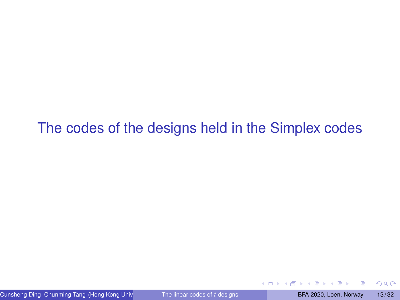<span id="page-12-0"></span>[The codes of the designs held in the Simplex codes](#page-12-0)

Cunsheng Ding Chunming Tang (Hong Kong University of The linear codes of t-designs **BFA 2020, Loen, Norway 13/32** 

∢ ロ ▶ ∢ 何

 $2Q$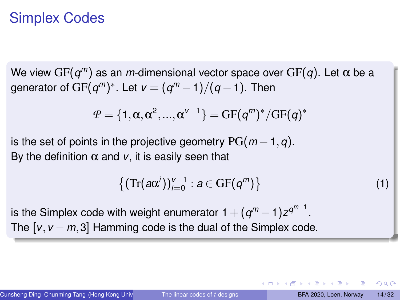### Simplex Codes

We view GF(*q <sup>m</sup>*) as an *m*-dimensional vector space over GF(*q*). Let α be a generator of  $\mathrm{GF}(q^m)^*$ . Let  $\mathsf{v}=(q^m-1)/(q-1).$  Then

$$
P = \{1, \alpha, \alpha^2, ..., \alpha^{\nu-1}\} = GF(q^m)^*/GF(q)^*
$$

is the set of points in the projective geometry  $PG(m-1, q)$ . By the definition  $\alpha$  and  $\nu$ , it is easily seen that

$$
\left\{ \left( \text{Tr}(\boldsymbol{a}\boldsymbol{\alpha}^i) \right)_{i=0}^{\nu-1} : \boldsymbol{a} \in \text{GF}(\boldsymbol{q}^m) \right\} \tag{1}
$$

is the Simplex code with weight enumerator  $1 + (q^m - 1)z^{q^{m-1}}.$ The  $[v, v - m, 3]$  Hamming code is the dual of the Simplex code.

つひへ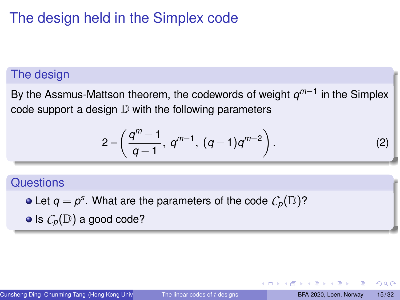# The design held in the Simplex code

### The design

By the Assmus-Mattson theorem, the codewords of weight *q m*−1 in the Simplex code support a design  $D$  with the following parameters

$$
2 - \left(\frac{q^m - 1}{q - 1}, \, q^{m-1}, \, (q - 1)q^{m-2}\right).
$$
 (2)

#### **Questions**

Let  $q = p^s$ . What are the parameters of the code  $\mathcal{C}_p(\mathbb{D})$ ?  $\bullet$  Is  $C_p(\mathbb{D})$  a good code?

∢ ロ ▶ ( 伊 ) ( ミ ) ( ミ )

 $QQ$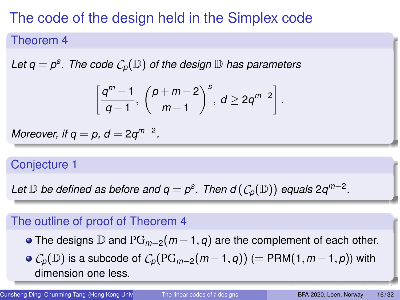# The code of the design held in the Simplex code

#### Theorem 4

<span id="page-15-0"></span>Let  $q = p^{\rm s}$ . The code  $\mathcal{C}_p(\mathbb{D})$  of the design  $\mathbb D$  has parameters

$$
\left[\frac{q^m-1}{q-1},\,\binom{p+m-2}{m-1}^s,\,d\geq 2q^{m-2}\right].
$$

*Moreover, if*  $q = p$ ,  $d = 2q^{m-2}$ .

### Conjecture 1

 $L$ et  $\mathbb D$  *be defined as before and*  $q = p^s$ *. Then d*  $(\mathcal C_p(\mathbb D))$  *equals* 2 $q^{m-2}$ *.* 

### The outline of proof of Theorem [4](#page-15-0)

- The designs D and PG*m*−2(*<sup>m</sup>* −1,*q*) are the complement of each other.
- $\circ$  *C<sub>p</sub>*( $\mathbb{D}$ ) is a subcode of  $C_p(PG_{m-2}(m-1,q))$  (= PRM(1,  $m-1, p$ )) with dimension one less.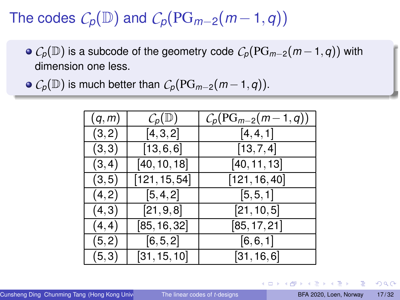The codes  $C_p(\mathbb{D})$  and  $C_p(\text{PG}_{m-2}(m-1,q))$ 

- $\circ$  *C<sub>p</sub>*( $\mathbb{D}$ ) is a subcode of the geometry code  $C_p(PG_{m-2}(m-1,q))$  with dimension one less.
- $\bullet$  *C*<sub>*p*</sub>( $\mathbb{D}$ ) is much better than  $C_p(PG_{m-2}(m-1,q))$ .

| (q,m)  | $C_p(\mathbb{D})$ | $C_p(\mathrm{PG}_{m-2}(m-1,q))$ |
|--------|-------------------|---------------------------------|
| (3,2)  | [4, 3, 2]         | [4, 4, 1]                       |
| (3,3)  | [13, 6, 6]        | [13, 7, 4]                      |
| (3, 4) | [40, 10, 18]      | [40, 11, 13]                    |
| (3, 5) | [121, 15, 54]     | [121, 16, 40]                   |
| (4,2)  | [5, 4, 2]         | [5, 5, 1]                       |
| (4,3)  | [21, 9, 8]        | [21, 10, 5]                     |
| (4, 4) | [85, 16, 32]      | [85, 17, 21]                    |
| (5,2)  | [6, 5, 2]         | [6, 6, 1]                       |
| (5,3)  | [31, 15, 10]      | [31, 16, 6]                     |

 $QQ$ 

イロト イ押 トイヨ トイヨ トッヨ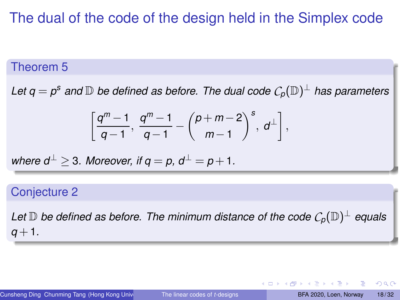### The dual of the code of the design held in the Simplex code

### Theorem 5

Let  $\mathsf{q} = \mathsf{p}^\mathsf{s}$  and  $\mathbb D$  be defined as before. The dual code  $\mathcal{C}_\mathsf{p}(\mathbb D)^\perp$  has parameters

$$
\left[\frac{q^m-1}{q-1},\ \frac{q^m-1}{q-1}-\binom{p+m-2}{m-1}^s,\ d^\perp\right],
$$

where 
$$
d^{\perp} \geq 3
$$
. Moreover, if  $q = p$ ,  $d^{\perp} = p + 1$ .

#### Conjecture 2

Let  $\mathbb D$  be defined as before. The minimum distance of the code  $\mathcal C_p(\mathbb D)^{\perp}$  equals  $q + 1$ .

 $2Q$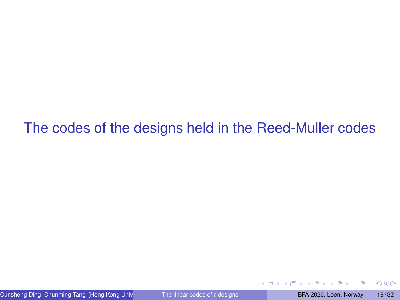### <span id="page-18-0"></span>[The codes of the designs held in the Reed-Muller codes](#page-18-0)

4 0 8 4

 $2Q$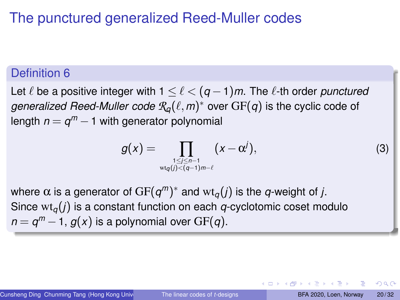# The punctured generalized Reed-Muller codes

### Definition 6

Let  $\ell$  be a positive integer with  $1 \leq \ell < (q-1)m$ . The  $\ell$ -th order *punctured*  $g$ eneralized Reed-Muller code  $\mathcal{R}_{q}(\ell,m)^{*}$  over  $\mathrm{GF}(q)$  is the cyclic code of length  $n=q^m-1$  with generator polynomial

$$
g(x) = \prod_{\substack{1 \leq j \leq n-1 \\ \text{wt}_q(j) < (q-1)m-\ell}} (x - \alpha^j),\tag{3}
$$

where  $\alpha$  is a generator of  $\mathrm{GF}(q^m)^*$  and  $\mathrm{wt}_q(j)$  is the  $q$ -weight of  $j.$ Since  $\mathrm{wt}_q(j)$  is a constant function on each *q*-cyclotomic coset modulo  $n = q^m - 1$ ,  $g(x)$  is a polynomial over  $\mathrm{GF}(q).$ 

つへへ

イロト イ押ト イヨト イヨト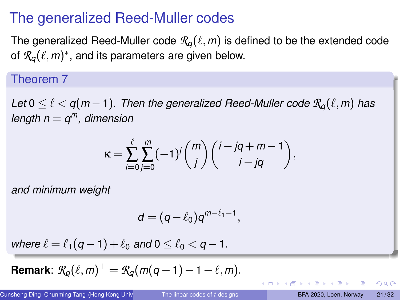### The generalized Reed-Muller codes

The generalized Reed-Muller code  $\mathcal{R}_{q}(\ell,m)$  is defined to be the extended code of  $\mathcal{R}_q(\ell,m)^*$ , and its parameters are given below.

### Theorem 7

*Let*  $0 \leq \ell \leq q(m-1)$ . Then the generalized Reed-Muller code  $\mathcal{R}_q(\ell,m)$  has *length n* = *q <sup>m</sup>, dimension*

$$
\kappa = \sum_{i=0}^{\ell} \sum_{j=0}^{m} (-1)^j {m \choose j} {i-jq+m-1 \choose i-jq},
$$

*and minimum weight*

$$
d=(q-\ell_0)q^{m-\ell_1-1},
$$

*where*  $\ell = \ell_1(q-1) + \ell_0$  *and*  $0 \leq \ell_0 \leq q-1$ .

**Remark**:  $\mathcal{R}_q(\ell,m)^{\perp} = \mathcal{R}_q(m(q-1)-1-\ell,m).$ 

- 3

 $QQ$ 

イロト イ伊 トイヨ トイヨト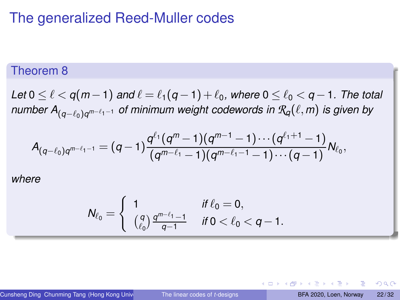### The generalized Reed-Muller codes

#### Theorem 8

<span id="page-21-0"></span>*Let*  $0 \leq \ell < q(m-1)$  *and*  $\ell = \ell_1(q-1) + \ell_0$ *, where*  $0 \leq \ell_0 < q-1$ *. The total number A*(*q*−ℓ0)*<sup>q</sup> <sup>m</sup>*−ℓ1−<sup>1</sup> *of minimum weight codewords in Rq*(ℓ,*m*) *is given by*

$$
A_{(q-\ell_0)q^{m-\ell_1-1}}=(q-1)\frac{q^{\ell_1}(q^m-1)(q^{m-1}-1)\cdots(q^{\ell_1+1}-1)}{(q^{m-\ell_1}-1)(q^{m-\ell_1-1}-1)\cdots(q-1)}N_{\ell_0},
$$

*where*

$$
N_{\ell_0} = \begin{cases} 1 & \text{if } \ell_0 = 0, \\ \binom{q}{\ell_0} \frac{q^{m-\ell_1}-1}{q-1} & \text{if } 0 < \ell_0 < q-1. \end{cases}
$$

Cunsheng Ding Chunming Tang (Hong Kong University of The linear codes of t-designs BFA 2020, Loen, Norway 22/32

つへへ

イロト イ押ト イヨト イヨト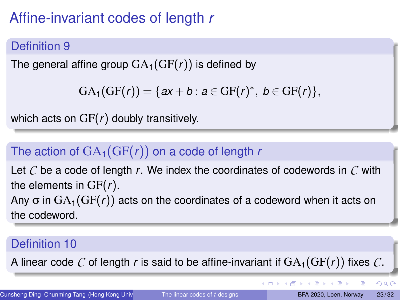# Affine-invariant codes of length *r*

### Definition 9

The general affine group  $GA_1(GF(r))$  is defined by

```
GA_1(GF(r)) = \{ax + b : a \in GF(r)^*, b \in GF(r)\},\
```
which acts on GF(*r*) doubly transitively.

### The action of  $GA_1(GF(r))$  on a code of length *r*

Let *C* be a code of length *r*. We index the coordinates of codewords in *C* with the elements in GF(*r*). Any  $\sigma$  in  $GA_1(GF(r))$  acts on the coordinates of a codeword when it acts on the codeword.

### Definition 10

A linear code C of length r is said to be affine-invariant if  $GA_1(GF(r))$  fixes C.

- 3

 $2Q$ 

**K ロ ▶ K 伊 ▶ K ヨ ▶ K ヨ ▶**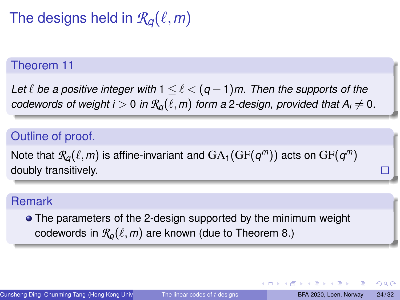The designs held in  $\mathcal{R}_q(\ell,m)$ 

#### Theorem 11

*Let*  $\ell$  *be a positive integer with*  $1 \leq \ell < (q - 1)m$ . Then the supports of the *codewords of weight i* > 0 *in*  $\mathcal{R}_{q}(\ell,m)$  *form a* 2-design, provided that  $A_i \neq 0$ .

### Outline of proof.

Note that  $\mathcal{R}_{\!q}(\ell,m)$  is affine-invariant and  $\text{GA}_1(\text{GF}(\bm{\mathit{q}}^m))$  acts on  $\text{GF}(\bm{\mathit{q}}^m)$ doubly transitively.

#### Remark

• The parameters of the 2-design supported by the minimum weight codewords in  $\mathcal{R}_{q}(\ell,m)$  are known (due to Theorem [8.](#page-21-0))

つひへ

K ロ ▶ K 何 ▶ K ヨ ▶ K ヨ ▶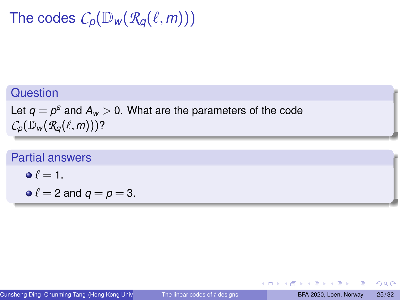The codes  $C_p(\mathbb{D}_w(R_q(\ell,m)))$ 

### **Question**

Let  $q = p^{\rm s}$  and  $A_{\rm w} > 0$ . What are the parameters of the code  $C_p(\mathbb{D}_w(\mathcal{R}_q(\ell,m)))$ ?

#### Partial answers

$$
\bullet \ \ell = 1.
$$

$$
\bullet \ell = 2 \text{ and } q = p = 3.
$$

**メイラメイラメ** 

∢ □ ▶ ⊣ *□* 

 $2Q$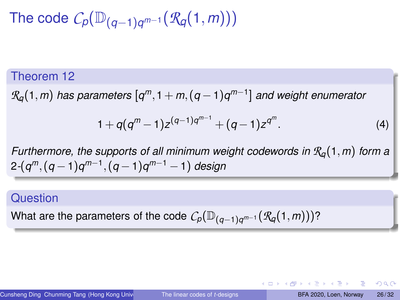$\mathsf{The\ code}\ \mathcal{C}_p(\mathbb{D}_{(q-1)q^{m-1}}(\mathcal{R}_q(1,m)))$ 

#### Theorem 12

*Rq*(1,*m*) *has parameters* [*q <sup>m</sup>*,1+ *m*,(*q* −1)*q m*−1 ] *and weight enumerator*

$$
1+q(q^m-1)z^{(q-1)q^{m-1}}+(q-1)z^{q^m}.
$$
 (4)

*Furthermore, the supports of all minimum weight codewords in Rq*(1,*m*) *form a* 2*-*(*q <sup>m</sup>*,(*q* −1)*q m*−1 ,(*q* −1)*q <sup>m</sup>*−<sup>1</sup> −1) *design*

#### **Question**

What are the parameters of the code  $\mathcal{C}_p(\mathbb{D}_{(q-1)q^{m-1}}(\mathcal{R}_q(1,m)))$ ?

イロト イ押 トイヨ トイヨ ドーヨー りなび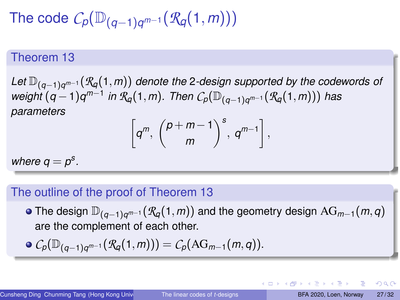The code 
$$
\mathcal{C}_p(\mathbb{D}_{(q-1)q^{m-1}}(\mathcal{R}_q(1,m)))
$$

#### Theorem 13

<span id="page-26-0"></span>*Let* D(*q*−1)*<sup>q</sup> <sup>m</sup>*−<sup>1</sup> (*Rq*(1,*m*)) *denote the* 2*-design supported by the codewords of weight* (*q* −1)*q m*−1 *in Rq*(1,*m*)*. Then Cp*(D(*q*−1)*<sup>q</sup> <sup>m</sup>*−<sup>1</sup> (*Rq*(1,*m*))) *has parameters*

$$
\left[q^m, \ \binom{p+m-1}{m}^s, \ q^{m-1}\right],
$$

*where*  $q = p^s$ .

#### The outline of the proof of Theorem [13](#page-26-0)

The design D(*q*−1)*<sup>q</sup> <sup>m</sup>*−<sup>1</sup> (*Rq*(1,*m*)) and the geometry design AG*m*−1(*m*,*q*) are the complement of each other.

$$
\bullet \ C_p(\mathbb{D}_{(q-1)q^{m-1}}(\mathcal{R}_q(1,m))) = C_p(\text{AG}_{m-1}(m,q)).
$$

 $\Omega$ 

イロト イ押 トイヨ トイヨ トッヨ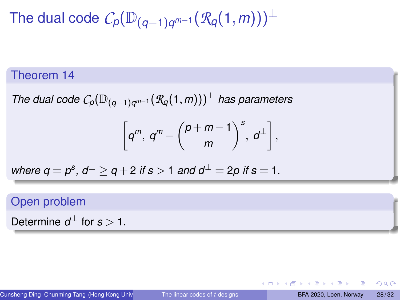$\mathsf{The}$  dual code  $\mathcal{C}_p(\mathbb{D}_{(q-1)q^{m-1}}(\mathcal{R}_q(1,m)))^\perp$ 

#### Theorem 14

*The dual code Cp*(D(*q*−1)*<sup>q</sup> <sup>m</sup>*−<sup>1</sup> (*Rq*(1,*m*)))<sup>⊥</sup> *has parameters*

$$
\left[q^m, q^m - \binom{p+m-1}{m}^s, d^{\perp}\right],
$$

where 
$$
q = p^s
$$
,  $d^{\perp} \ge q + 2$  if  $s > 1$  and  $d^{\perp} = 2p$  if  $s = 1$ .

### Open problem

Determine  $d^{\perp}$  for  $s > 1$ .

 $QQ$ 

イロト イ押 トイヨト イヨト 一重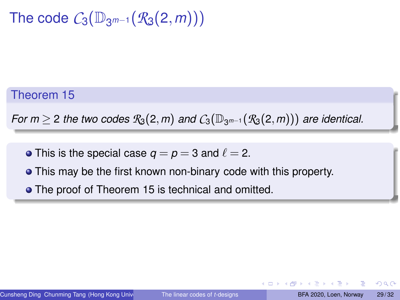The code  $C_3(\mathbb{D}_{3^{m-1}}(\mathcal{R}_3(2,m)))$ 

Theorem 15

<span id="page-28-0"></span>*For m*  $\geq$  2 *the two codes*  $\mathcal{R}_3(2,m)$  *and*  $C_3(\mathbb{D}_{3^{m-1}}(\mathcal{R}_3(2,m)))$  *are identical.* 

- This is the special case  $q = p = 3$  and  $\ell = 2$ .
- This may be the first known non-binary code with this property.
- **•** The proof of Theorem [15](#page-28-0) is technical and omitted.

 $\Omega$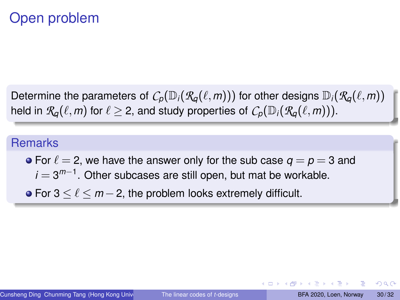### Open problem

Determine the parameters of  $C_p(\mathbb{D}_i(\mathcal{R}_q(\ell,m)))$  for other designs  $\mathbb{D}_i(\mathcal{R}_q(\ell,m))$ held in  $\mathcal{R}_q(\ell,m)$  for  $\ell \geq 2$ , and study properties of  $C_p(\mathbb{D}_i(\mathcal{R}_q(\ell,m)))$ .

#### **Remarks**

- For  $\ell = 2$ , we have the answer only for the sub case  $q = p = 3$  and *i* = 3<sup>m−1</sup>. Other subcases are still open, but mat be workable.
- For 3 ≤ ℓ ≤ *m* −2, the problem looks extremely difficult.

つひへ

K ロ ▶ K 何 ▶ K ヨ ▶ K ヨ ▶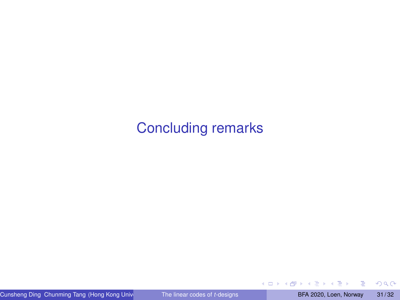### <span id="page-30-0"></span>[Concluding remarks](#page-30-0)

E

 $2Q$ 

**← ロ → → 伊** 

 $\mathbf{p}$  $\sim$ E K  $\mathcal{A}$  .